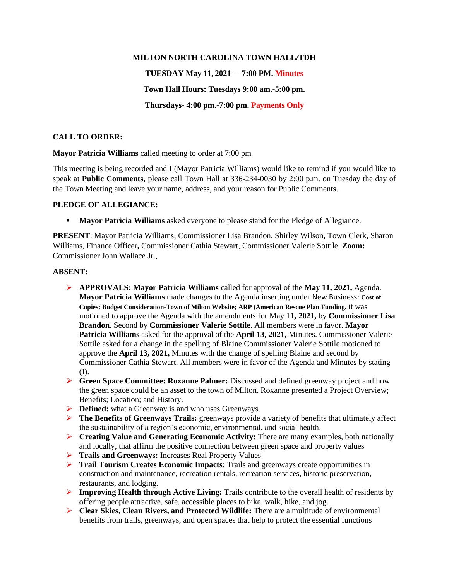## **MILTON NORTH CAROLINA TOWN HALL/TDH**

**TUESDAY May 11, 2021----7:00 PM. Minutes**

**Town Hall Hours: Tuesdays 9:00 am.-5:00 pm.**

**Thursdays- 4:00 pm.-7:00 pm. Payments Only**

# **CALL TO ORDER:**

**Mayor Patricia Williams** called meeting to order at 7:00 pm

This meeting is being recorded and I (Mayor Patricia Williams) would like to remind if you would like to speak at **Public Comments,** please call Town Hall at 336-234-0030 by 2:00 p.m. on Tuesday the day of the Town Meeting and leave your name, address, and your reason for Public Comments.

## **PLEDGE OF ALLEGIANCE:**

**• Mayor Patricia Williams** asked everyone to please stand for the Pledge of Allegiance.

**PRESENT**: Mayor Patricia Williams, Commissioner Lisa Brandon, Shirley Wilson, Town Clerk, Sharon Williams, Finance Officer**,** Commissioner Cathia Stewart, Commissioner Valerie Sottile, **Zoom:** Commissioner John Wallace Jr.,

## **ABSENT:**

- ➢ **APPROVALS: Mayor Patricia Williams** called for approval of the **May 11, 2021,** Agenda. **Mayor Patricia Williams** made changes to the Agenda inserting under New Business: **Cost of Copies; Budget Consideration-Town of Milton Website; ARP (American Rescue Plan Funding.** It was motioned to approve the Agenda with the amendments for May 11**, 2021,** by **Commissioner Lisa Brandon**. Second by **Commissioner Valerie Sottile**. All members were in favor. **Mayor Patricia Williams** asked for the approval of the **April 13, 2021,** Minutes. Commissioner Valerie Sottile asked for a change in the spelling of Blaine.Commissioner Valerie Sottile motioned to approve the **April 13, 2021,** Minutes with the change of spelling Blaine and second by Commissioner Cathia Stewart. All members were in favor of the Agenda and Minutes by stating (I).
- ➢ **Green Space Committee: Roxanne Palmer:** Discussed and defined greenway project and how the green space could be an asset to the town of Milton. Roxanne presented a Project Overview; Benefits; Location; and History.
- ➢ **Defined:** what a Greenway is and who uses Greenways.
- ➢ **The Benefits of Greenways Trails:** greenways provide a variety of benefits that ultimately affect the sustainability of a region's economic, environmental, and social health.
- ➢ **Creating Value and Generating Economic Activity:** There are many examples, both nationally and locally, that affirm the positive connection between green space and property values
- ➢ **Trails and Greenways:** Increases Real Property Values
- ➢ **Trail Tourism Creates Economic Impacts**: Trails and greenways create opportunities in construction and maintenance, recreation rentals, recreation services, historic preservation, restaurants, and lodging.
- ➢ **Improving Health through Active Living:** Trails contribute to the overall health of residents by offering people attractive, safe, accessible places to bike, walk, hike, and jog.
- ➢ **Clear Skies, Clean Rivers, and Protected Wildlife:** There are a multitude of environmental benefits from trails, greenways, and open spaces that help to protect the essential functions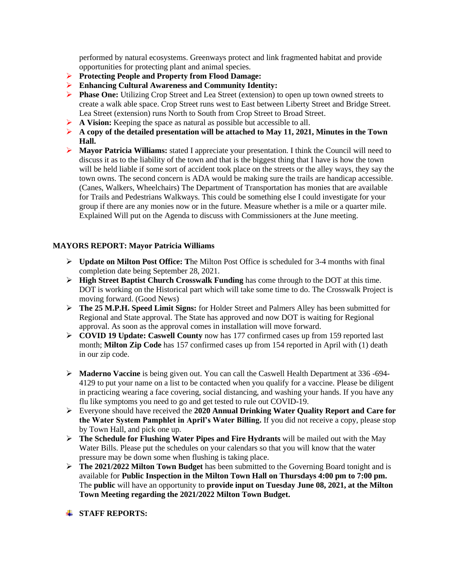performed by natural ecosystems. Greenways protect and link fragmented habitat and provide opportunities for protecting plant and animal species.

- ➢ **Protecting People and Property from Flood Damage:**
- ➢ **Enhancing Cultural Awareness and Community Identity:**
- ➢ **Phase One:** Utilizing Crop Street and Lea Street (extension) to open up town owned streets to create a walk able space. Crop Street runs west to East between Liberty Street and Bridge Street. Lea Street (extension) runs North to South from Crop Street to Broad Street.
- ➢ **A Vision:** Keeping the space as natural as possible but accessible to all.
- ➢ **A copy of the detailed presentation will be attached to May 11, 2021, Minutes in the Town Hall.**
- ➢ **Mayor Patricia Williams:** stated I appreciate your presentation. I think the Council will need to discuss it as to the liability of the town and that is the biggest thing that I have is how the town will be held liable if some sort of accident took place on the streets or the alley ways, they say the town owns. The second concern is ADA would be making sure the trails are handicap accessible. (Canes, Walkers, Wheelchairs) The Department of Transportation has monies that are available for Trails and Pedestrians Walkways. This could be something else I could investigate for your group if there are any monies now or in the future. Measure whether is a mile or a quarter mile. Explained Will put on the Agenda to discuss with Commissioners at the June meeting.

# **MAYORS REPORT: Mayor Patricia Williams**

- ➢ **Update on Milton Post Office: T**he Milton Post Office is scheduled for 3-4 months with final completion date being September 28, 2021.
- ➢ **High Street Baptist Church Crosswalk Funding** has come through to the DOT at this time. DOT is working on the Historical part which will take some time to do. The Crosswalk Project is moving forward. (Good News)
- ➢ **The 25 M.P.H. Speed Limit Signs:** for Holder Street and Palmers Alley has been submitted for Regional and State approval. The State has approved and now DOT is waiting for Regional approval. As soon as the approval comes in installation will move forward.
- ➢ **COVID 19 Update: Caswell County** now has 177 confirmed cases up from 159 reported last month; **Milton Zip Code** has 157 confirmed cases up from 154 reported in April with (1) death in our zip code.
- ➢ **Maderno Vaccine** is being given out. You can call the Caswell Health Department at 336 -694- 4129 to put your name on a list to be contacted when you qualify for a vaccine. Please be diligent in practicing wearing a face covering, social distancing, and washing your hands. If you have any flu like symptoms you need to go and get tested to rule out COVID-19.
- ➢ Everyone should have received the **2020 Annual Drinking Water Quality Report and Care for the Water System Pamphlet in April's Water Billing.** If you did not receive a copy, please stop by Town Hall, and pick one up.
- ➢ **The Schedule for Flushing Water Pipes and Fire Hydrants** will be mailed out with the May Water Bills. Please put the schedules on your calendars so that you will know that the water pressure may be down some when flushing is taking place.
- ➢ **The 2021/2022 Milton Town Budget** has been submitted to the Governing Board tonight and is available for **Public Inspection in the Milton Town Hall on Thursdays 4:00 pm to 7:00 pm.** The **public** will have an opportunity to **provide input on Tuesday June 08, 2021, at the Milton Town Meeting regarding the 2021/2022 Milton Town Budget.**

**STAFF REPORTS:**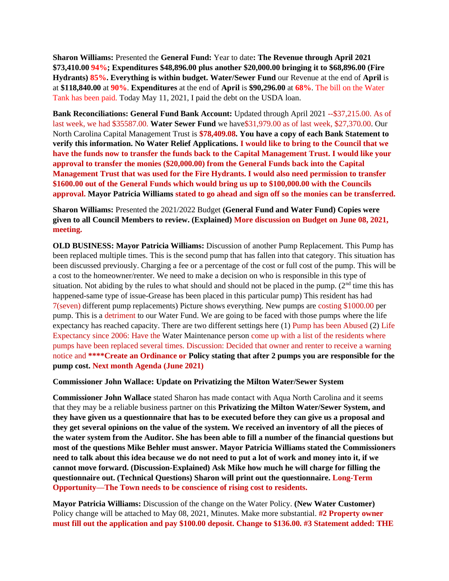**Sharon Williams:** Presented the **General Fund:** Year to date**: The Revenue through April 2021 \$73,410.00 94%; Expenditures \$48,896.00 plus another \$20,000.00 bringing it to \$68,896.00 (Fire Hydrants) 85%. Everything is within budget. Water/Sewer Fund** our Revenue at the end of **April** is at **\$118,840.00** at **90%**. **Expenditures** at the end of **April** is **\$90,296.00** at **68%**. The bill on the Water Tank has been paid. Today May 11, 2021, I paid the debt on the USDA loan.

**Bank Reconciliations: General Fund Bank Account:** Updated through April 2021 --\$37,215.00. As of last week, we had \$35587.00. **Water Sewer Fund** we have\$31,979.00 as of last week, \$27,370.00. Our North Carolina Capital Management Trust is **\$78,409.08. You have a copy of each Bank Statement to verify this information. No Water Relief Applications. I would like to bring to the Council that we have the funds now to transfer the funds back to the Capital Management Trust. I would like your approval to transfer the monies (\$20,000.00) from the General Funds back into the Capital Management Trust that was used for the Fire Hydrants. I would also need permission to transfer \$1600.00 out of the General Funds which would bring us up to \$100,000.00 with the Councils approval. Mayor Patricia Williams stated to go ahead and sign off so the monies can be transferred.**

**Sharon Williams:** Presented the 2021/2022 Budget **(General Fund and Water Fund) Copies were given to all Council Members to review. (Explained) More discussion on Budget on June 08, 2021, meeting.**

**OLD BUSINESS: Mayor Patricia Williams:** Discussion of another Pump Replacement. This Pump has been replaced multiple times. This is the second pump that has fallen into that category. This situation has been discussed previously. Charging a fee or a percentage of the cost or full cost of the pump. This will be a cost to the homeowner/renter. We need to make a decision on who is responsible in this type of situation. Not abiding by the rules to what should and should not be placed in the pump.  $(2<sup>nd</sup>$  time this has happened-same type of issue-Grease has been placed in this particular pump) This resident has had 7(seven) different pump replacements) Picture shows everything. New pumps are costing \$1000.00 per pump. This is a detriment to our Water Fund. We are going to be faced with those pumps where the life expectancy has reached capacity. There are two different settings here (1) Pump has been Abused (2) Life Expectancy since 2006: Have the Water Maintenance person come up with a list of the residents where pumps have been replaced several times. Discussion: Decided that owner and renter to receive a warning notice and **\*\*\*\*Create an Ordinance or Policy stating that after 2 pumps you are responsible for the pump cost. Next month Agenda (June 2021)**

**Commissioner John Wallace: Update on Privatizing the Milton Water/Sewer System**

**Commissioner John Wallace** stated Sharon has made contact with Aqua North Carolina and it seems that they may be a reliable business partner on this **Privatizing the Milton Water/Sewer System, and they have given us a questionnaire that has to be executed before they can give us a proposal and they get several opinions on the value of the system. We received an inventory of all the pieces of the water system from the Auditor. She has been able to fill a number of the financial questions but most of the questions Mike Behler must answer. Mayor Patricia Williams stated the Commissioners need to talk about this idea because we do not need to put a lot of work and money into it, if we cannot move forward. (Discussion-Explained) Ask Mike how much he will charge for filling the questionnaire out. (Technical Questions) Sharon will print out the questionnaire. Long-Term Opportunity—The Town needs to be conscience of rising cost to residents.**

**Mayor Patricia Williams:** Discussion of the change on the Water Policy. **(New Water Customer)** Policy change will be attached to May 08, 2021, Minutes. Make more substantial. **#2 Property owner must fill out the application and pay \$100.00 deposit. Change to \$136.00. #3 Statement added: THE**